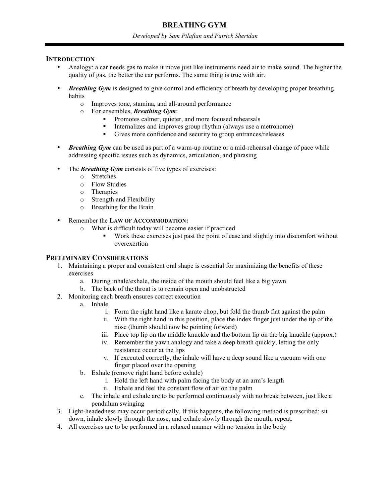# **BREATHNG GYM**

#### *Developed by Sam Pilafian and Patrick Sheridan*

#### **INTRODUCTION**

- Analogy: a car needs gas to make it move just like instruments need air to make sound. The higher the quality of gas, the better the car performs. The same thing is true with air.
- *Breathing Gym* is designed to give control and efficiency of breath by developing proper breathing habits
	- o Improves tone, stamina, and all-around performance
	- o For ensembles, *Breathing Gym*:
		- Promotes calmer, quieter, and more focused rehearsals
		- Internalizes and improves group rhythm (always use a metronome)
		- Gives more confidence and security to group entrances/releases
- *Breathing Gym* can be used as part of a warm-up routine or a mid-rehearsal change of pace while addressing specific issues such as dynamics, articulation, and phrasing
- The **Breathing Gym** consists of five types of exercises:
	- o Stretches
	- o Flow Studies
	- o Therapies
	- o Strength and Flexibility
	- o Breathing for the Brain
- Remember the **LAW OF ACCOMMODATION:**
	- o What is difficult today will become easier if practiced
		- Work these exercises just past the point of ease and slightly into discomfort without overexertion

### **PRELIMINARY CONSIDERATIONS**

- 1. Maintaining a proper and consistent oral shape is essential for maximizing the benefits of these exercises
	- a. During inhale/exhale, the inside of the mouth should feel like a big yawn
	- b. The back of the throat is to remain open and unobstructed
- 2. Monitoring each breath ensures correct execution
	- a. Inhale
		- i. Form the right hand like a karate chop, but fold the thumb flat against the palm
		- ii. With the right hand in this position, place the index finger just under the tip of the nose (thumb should now be pointing forward)
		- iii. Place top lip on the middle knuckle and the bottom lip on the big knuckle (approx.)
		- iv. Remember the yawn analogy and take a deep breath quickly, letting the only resistance occur at the lips
		- v. If executed correctly, the inhale will have a deep sound like a vacuum with one finger placed over the opening
	- b. Exhale (remove right hand before exhale)
		- i. Hold the left hand with palm facing the body at an arm's length
		- ii. Exhale and feel the constant flow of air on the palm
	- c. The inhale and exhale are to be performed continuously with no break between, just like a pendulum swinging
- 3. Light-headedness may occur periodically. If this happens, the following method is prescribed: sit down, inhale slowly through the nose, and exhale slowly through the mouth; repeat.
- 4. All exercises are to be performed in a relaxed manner with no tension in the body